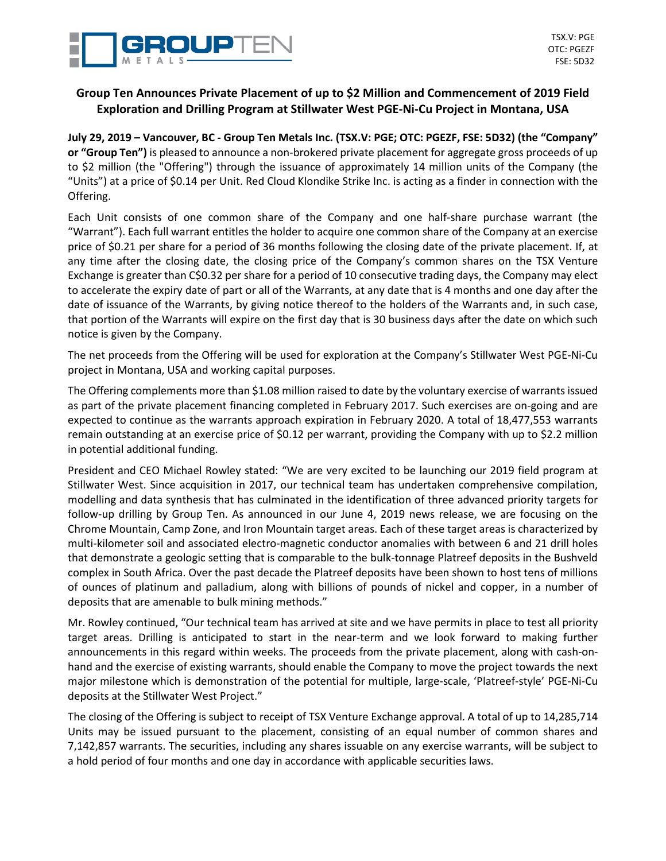

# **Group Ten Announces Private Placement of up to \$2 Million and Commencement of 2019 Field Exploration and Drilling Program at Stillwater West PGE-Ni-Cu Project in Montana, USA**

July 29, 2019 - Vancouver, BC - Group Ten Metals Inc. (TSX.V: PGE; OTC: PGEZF, FSE: 5D32) (the "Company" **or "Group Ten")** is pleased to announce a non-brokered private placement for aggregate gross proceeds of up to \$2 million (the "Offering") through the issuance of approximately 14 million units of the Company (the "Units") at a price of \$0.14 per Unit. Red Cloud Klondike Strike Inc. is acting as a finder in connection with the Offering.

Each Unit consists of one common share of the Company and one half-share purchase warrant (the "Warrant"). Each full warrant entitles the holder to acquire one common share of the Company at an exercise price of \$0.21 per share for a period of 36 months following the closing date of the private placement. If, at any time after the closing date, the closing price of the Company's common shares on the TSX Venture Exchange is greater than C\$0.32 per share for a period of 10 consecutive trading days, the Company may elect to accelerate the expiry date of part or all of the Warrants, at any date that is 4 months and one day after the date of issuance of the Warrants, by giving notice thereof to the holders of the Warrants and, in such case, that portion of the Warrants will expire on the first day that is 30 business days after the date on which such notice is given by the Company.

The net proceeds from the Offering will be used for exploration at the Company's Stillwater West PGE-Ni-Cu project in Montana, USA and working capital purposes.

The Offering complements more than \$1.08 million raised to date by the voluntary exercise of warrants issued as part of the private placement financing completed in February 2017. Such exercises are on-going and are expected to continue as the warrants approach expiration in February 2020. A total of 18,477,553 warrants remain outstanding at an exercise price of \$0.12 per warrant, providing the Company with up to \$2.2 million in potential additional funding.

President and CEO Michael Rowley stated: "We are very excited to be launching our 2019 field program at Stillwater West. Since acquisition in 2017, our technical team has undertaken comprehensive compilation, modelling and data synthesis that has culminated in the identification of three advanced priority targets for follow-up drilling by Group Ten. As announced in our June 4, 2019 news release, we are focusing on the Chrome Mountain, Camp Zone, and Iron Mountain target areas. Each of these target areas is characterized by multi-kilometer soil and associated electro-magnetic conductor anomalies with between 6 and 21 drill holes that demonstrate a geologic setting that is comparable to the bulk-tonnage Platreef deposits in the Bushveld complex in South Africa. Over the past decade the Platreef deposits have been shown to host tens of millions of ounces of platinum and palladium, along with billions of pounds of nickel and copper, in a number of deposits that are amenable to bulk mining methods."

Mr. Rowley continued, "Our technical team has arrived at site and we have permits in place to test all priority target areas. Drilling is anticipated to start in the near-term and we look forward to making further announcements in this regard within weeks. The proceeds from the private placement, along with cash-onhand and the exercise of existing warrants, should enable the Company to move the project towards the next major milestone which is demonstration of the potential for multiple, large-scale, 'Platreef-style' PGE-Ni-Cu deposits at the Stillwater West Project."

The closing of the Offering is subject to receipt of TSX Venture Exchange approval. A total of up to 14,285,714 Units may be issued pursuant to the placement, consisting of an equal number of common shares and 7,142,857 warrants. The securities, including any shares issuable on any exercise warrants, will be subject to a hold period of four months and one day in accordance with applicable securities laws.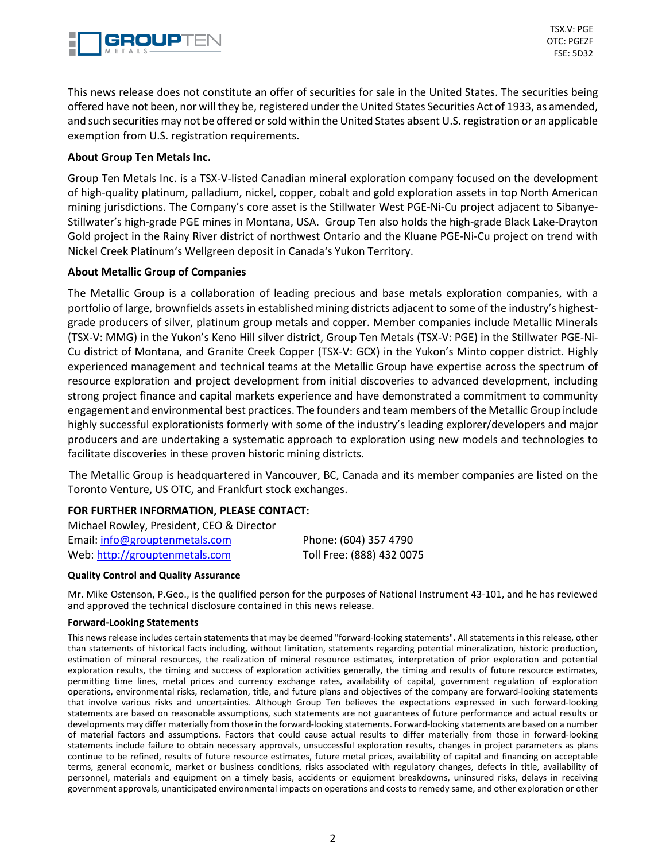

This news release does not constitute an offer of securities for sale in the United States. The securities being offered have not been, nor will they be, registered under the United States Securities Act of 1933, as amended, and such securities may not be offered orsold within the United States absent U.S.registration or an applicable exemption from U.S. registration requirements.

## **About Group Ten Metals Inc.**

Group Ten Metals Inc. is a TSX-V-listed Canadian mineral exploration company focused on the development of high-quality platinum, palladium, nickel, copper, cobalt and gold exploration assets in top North American mining jurisdictions. The Company's core asset is the Stillwater West PGE-Ni-Cu project adjacent to Sibanye-Stillwater's high-grade PGE mines in Montana, USA. Group Ten also holds the high-grade Black Lake-Drayton Gold project in the Rainy River district of northwest Ontario and the Kluane PGE-Ni-Cu project on trend with Nickel Creek Platinum's Wellgreen deposit in Canada's Yukon Territory.

## **About Metallic Group of Companies**

The Metallic Group is a collaboration of leading precious and base metals exploration companies, with a portfolio of large, brownfields assets in established mining districts adjacent to some of the industry's highestgrade producers of silver, platinum group metals and copper. Member companies include Metallic Minerals (TSX-V: MMG) in the Yukon's Keno Hill silver district, Group Ten Metals (TSX-V: PGE) in the Stillwater PGE-Ni-Cu district of Montana, and Granite Creek Copper (TSX-V: GCX) in the Yukon's Minto copper district. Highly experienced management and technical teams at the Metallic Group have expertise across the spectrum of resource exploration and project development from initial discoveries to advanced development, including strong project finance and capital markets experience and have demonstrated a commitment to community engagement and environmental best practices. The founders and team members of the Metallic Group include highly successful explorationists formerly with some of the industry's leading explorer/developers and major producers and are undertaking a systematic approach to exploration using new models and technologies to facilitate discoveries in these proven historic mining districts.

The Metallic Group is headquartered in Vancouver, BC, Canada and its member companies are listed on the Toronto Venture, US OTC, and Frankfurt stock exchanges.

# **FOR FURTHER INFORMATION, PLEASE CONTACT:**

| Michael Rowley, President, CEO & Director |                           |
|-------------------------------------------|---------------------------|
| Email: info@grouptenmetals.com            | Phone: (604) 357 4790     |
| Web: http://grouptenmetals.com            | Toll Free: (888) 432 0075 |

### **Quality Control and Quality Assurance**

Mr. Mike Ostenson, P.Geo., is the qualified person for the purposes of National Instrument 43-101, and he has reviewed and approved the technical disclosure contained in this news release.

### **Forward-Looking Statements**

This news release includes certain statements that may be deemed "forward-looking statements". All statements in this release, other than statements of historical facts including, without limitation, statements regarding potential mineralization, historic production, estimation of mineral resources, the realization of mineral resource estimates, interpretation of prior exploration and potential exploration results, the timing and success of exploration activities generally, the timing and results of future resource estimates, permitting time lines, metal prices and currency exchange rates, availability of capital, government regulation of exploration operations, environmental risks, reclamation, title, and future plans and objectives of the company are forward-looking statements that involve various risks and uncertainties. Although Group Ten believes the expectations expressed in such forward-looking statements are based on reasonable assumptions, such statements are not guarantees of future performance and actual results or developments may differ materially from those in the forward-looking statements. Forward-looking statements are based on a number of material factors and assumptions. Factors that could cause actual results to differ materially from those in forward-looking statements include failure to obtain necessary approvals, unsuccessful exploration results, changes in project parameters as plans continue to be refined, results of future resource estimates, future metal prices, availability of capital and financing on acceptable terms, general economic, market or business conditions, risks associated with regulatory changes, defects in title, availability of personnel, materials and equipment on a timely basis, accidents or equipment breakdowns, uninsured risks, delays in receiving government approvals, unanticipated environmental impacts on operations and costs to remedy same, and other exploration or other